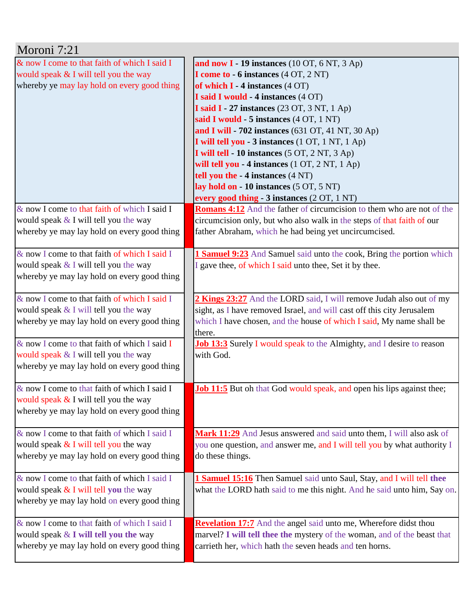| Moroni 7:21                                     |                                                                              |
|-------------------------------------------------|------------------------------------------------------------------------------|
| & now I come to that faith of which I said I    | and now $I - 19$ instances (10 OT, 6 NT, 3 Ap)                               |
| would speak & I will tell you the way           | I come to - 6 instances (4 OT, 2 NT)                                         |
| whereby ye may lay hold on every good thing     | of which $I - 4$ instances $(4 \text{ OT})$                                  |
|                                                 | I said I would - 4 instances (4 OT)                                          |
|                                                 | I said I - 27 instances (23 OT, 3 NT, 1 Ap)                                  |
|                                                 | said I would - 5 instances (4 OT, 1 NT)                                      |
|                                                 | and I will - 702 instances $(631 \text{ OT}, 41 \text{ NT}, 30 \text{ Ap})$  |
|                                                 | I will tell you - 3 instances (1 OT, 1 NT, 1 Ap)                             |
|                                                 | I will tell - 10 instances (5 OT, 2 NT, 3 Ap)                                |
|                                                 | will tell you - 4 instances (1 OT, 2 NT, 1 Ap)                               |
|                                                 | tell you the - 4 instances (4 NT)                                            |
|                                                 | lay hold on - 10 instances (5 OT, 5 NT)                                      |
|                                                 | every good thing - 3 instances (2 OT, 1 NT)                                  |
| & now I come to that faith of which I said I    | <b>Romans 4:12</b> And the father of circumcision to them who are not of the |
| would speak $&$ I will tell you the way         | circumcision only, but who also walk in the steps of that faith of our       |
| whereby ye may lay hold on every good thing     | father Abraham, which he had being yet uncircumcised.                        |
|                                                 |                                                                              |
| & now I come to that faith of which I said I    | <b>Samuel 9:23</b> And Samuel said unto the cook, Bring the portion which    |
| would speak $&$ I will tell you the way         | I gave thee, of which I said unto thee, Set it by thee.                      |
| whereby ye may lay hold on every good thing     |                                                                              |
|                                                 |                                                                              |
| & now I come to that faith of which I said I    | 2 Kings 23:27 And the LORD said, I will remove Judah also out of my          |
| would speak & I will tell you the way           | sight, as I have removed Israel, and will cast off this city Jerusalem       |
| whereby ye may lay hold on every good thing     | which I have chosen, and the house of which I said, My name shall be         |
|                                                 | there.                                                                       |
| $\&$ now I come to that faith of which I said I | <b>Job 13:3</b> Surely I would speak to the Almighty, and I desire to reason |
| would speak & I will tell you the way           | with God.                                                                    |
| whereby ye may lay hold on every good thing     |                                                                              |
|                                                 |                                                                              |
| $\&$ now I come to that faith of which I said I | <b>Job 11:5</b> But oh that God would speak, and open his lips against thee; |
| would speak $&$ I will tell you the way         |                                                                              |
| whereby ye may lay hold on every good thing     |                                                                              |
|                                                 |                                                                              |
| & now I come to that faith of which I said I    | Mark 11:29 And Jesus answered and said unto them, I will also ask of         |
| would speak & I will tell you the way           | you one question, and answer me, and I will tell you by what authority I     |
| whereby ye may lay hold on every good thing     | do these things.                                                             |
| & now I come to that faith of which I said I    |                                                                              |
|                                                 | 1 Samuel 15:16 Then Samuel said unto Saul, Stay, and I will tell thee        |
| would speak $&$ I will tell you the way         | what the LORD hath said to me this night. And he said unto him, Say on.      |
| whereby ye may lay hold on every good thing     |                                                                              |
| & now I come to that faith of which I said I    | <b>Revelation 17:7</b> And the angel said unto me, Wherefore didst thou      |
| would speak & I will tell you the way           | marvel? I will tell thee the mystery of the woman, and of the beast that     |
| whereby ye may lay hold on every good thing     | carrieth her, which hath the seven heads and ten horns.                      |
|                                                 |                                                                              |